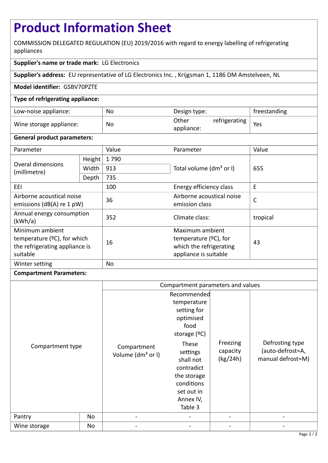# **Product Information Sheet**

COMMISSION DELEGATED REGULATION (EU) 2019/2016 with regard to energy labelling of refrigerating appliances

# **Supplier's name or trade mark:** LG Electronics

**Supplier's address:** EU representative of LG Electronics Inc. , Krijgsman 1, 1186 DM Amstelveen, NL

## **Model identifier:** GSBV70PZTE

## **Type of refrigerating appliance:**

| Low-noise appliance:    | No | Design type:                         | freestanding |
|-------------------------|----|--------------------------------------|--------------|
| Wine storage appliance: | No | refrigerating<br>Other<br>appliance: | Yes          |

#### **General product parameters:**

| Parameter                                                                                        |        | Value     | Parameter                                                                                       | Value    |
|--------------------------------------------------------------------------------------------------|--------|-----------|-------------------------------------------------------------------------------------------------|----------|
| Overal dimensions<br>(millimetre)                                                                | Height | 1790      |                                                                                                 | 655      |
|                                                                                                  | Width  | 913       | Total volume (dm <sup>3</sup> or I)                                                             |          |
|                                                                                                  | Depth  | 735       |                                                                                                 |          |
| EEI                                                                                              |        | 100       | Energy efficiency class                                                                         | E        |
| Airborne acoustical noise<br>emissions ( $dB(A)$ re 1 pW)                                        |        | 36        | Airborne acoustical noise<br>emission class                                                     | C        |
| Annual energy consumption<br>(kWh/a)                                                             |        | 352       | Climate class:                                                                                  | tropical |
| Minimum ambient<br>temperature ( $°C$ ), for which<br>the refrigerating appliance is<br>suitable |        | 16        | Maximum ambient<br>temperature $(2C)$ , for<br>which the refrigerating<br>appliance is suitable | 43       |
| Winter setting                                                                                   |        | <b>No</b> |                                                                                                 |          |

#### **Compartment Parameters:**

|                  |    | Compartment parameters and values            |                                                                                                                 |                                  |                                                          |
|------------------|----|----------------------------------------------|-----------------------------------------------------------------------------------------------------------------|----------------------------------|----------------------------------------------------------|
|                  |    |                                              | Recommended<br>temperature                                                                                      |                                  |                                                          |
|                  |    |                                              | setting for                                                                                                     |                                  |                                                          |
|                  |    |                                              | optimised                                                                                                       |                                  |                                                          |
|                  |    |                                              | food<br>storage $(°C)$                                                                                          |                                  |                                                          |
| Compartment type |    | Compartment<br>Volume (dm <sup>3</sup> or I) | These<br>settings<br>shall not<br>contradict<br>the storage<br>conditions<br>set out in<br>Annex IV,<br>Table 3 | Freezing<br>capacity<br>(kg/24h) | Defrosting type<br>(auto-defrost=A,<br>manual defrost=M) |
| Pantry           | No |                                              |                                                                                                                 |                                  |                                                          |
| Wine storage     | No |                                              |                                                                                                                 |                                  |                                                          |